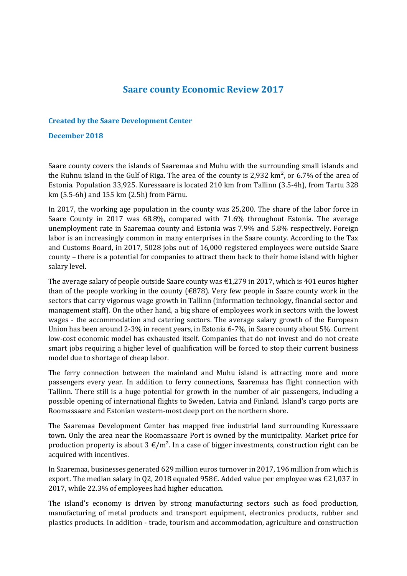## **Saare county Economic Review 2017**

## **Created by the Saare Development Center**

## **December 2018**

Saare county covers the islands of Saaremaa and Muhu with the surrounding small islands and the Ruhnu island in the Gulf of Riga. The area of the county is 2,932  $\rm km^2$ , or 6.7% of the area of Estonia. Population 33,925. Kuressaare is located 210 km from Tallinn (3.5-4h), from Tartu 328 km (5.5-6h) and 155 km (2.5h) from Pärnu.

In 2017, the working age population in the county was 25,200. The share of the labor force in Saare County in 2017 was 68.8%, compared with 71.6% throughout Estonia. The average unemployment rate in Saaremaa county and Estonia was 7.9% and 5.8% respectively. Foreign labor is an increasingly common in many enterprises in the Saare county. According to the Tax and Customs Board, in 2017, 5028 jobs out of 16,000 registered employees were outside Saare county – there is a potential for companies to attract them back to their home island with higher salary level.

The average salary of people outside Saare county was  $\epsilon$ 1,279 in 2017, which is 401 euros higher than of the people working in the county ( $\epsilon$ 878). Very few people in Saare county work in the sectors that carry vigorous wage growth in Tallinn (information technology, financial sector and management staff). On the other hand, a big share of employees work in sectors with the lowest wages - the accommodation and catering sectors. The average salary growth of the European Union has been around 2-3% in recent years, in Estonia 6-7%, in Saare county about 5%. Current low-cost economic model has exhausted itself. Companies that do not invest and do not create smart jobs requiring a higher level of qualification will be forced to stop their current business model due to shortage of cheap labor.

The ferry connection between the mainland and Muhu island is attracting more and more passengers every year. In addition to ferry connections, Saaremaa has flight connection with Tallinn. There still is a huge potential for growth in the number of air passengers, including a possible opening of international flights to Sweden, Latvia and Finland. Island's cargo ports are Roomassaare and Estonian western-most deep port on the northern shore.

The Saaremaa Development Center has mapped free industrial land surrounding Kuressaare town. Only the area near the Roomassaare Port is owned by the municipality. Market price for production property is about  $3 \text{ } \in / \text{m}^2$ . In a case of bigger investments, construction right can be acquired with incentives.

In Saaremaa, businesses generated 629 million euros turnover in 2017, 196 million from which is export. The median salary in Q2, 2018 equaled 958€. Added value per employee was €21,037 in 2017, while 22.3% of employees had higher education.

The island's economy is driven by strong manufacturing sectors such as food production, manufacturing of metal products and transport equipment, electronics products, rubber and plastics products. In addition - trade, tourism and accommodation, agriculture and construction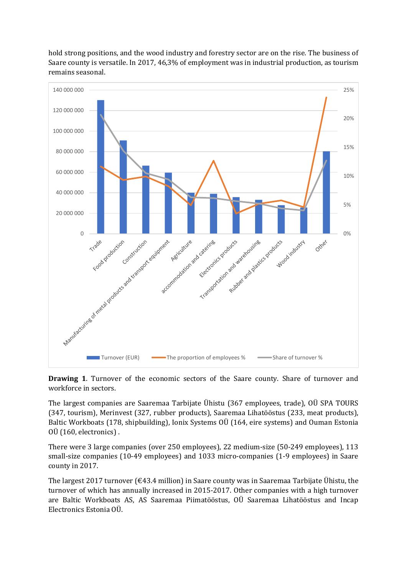

hold strong positions, and the wood industry and forestry sector are on the rise. The business of Saare county is versatile. In 2017, 46,3% of employment was in industrial production, as tourism remains seasonal.

**Drawing 1**. Turnover of the economic sectors of the Saare county. Share of turnover and workforce in sectors.

The largest companies are Saaremaa Tarbijate Ühistu (367 employees, trade), OÜ SPA TOURS (347, tourism), Merinvest (327, rubber products), Saaremaa Lihatööstus (233, meat products), Baltic Workboats (178, shipbuilding), Ionix Systems OÜ (164, eire systems) and Ouman Estonia OÜ (160, electronics) .

There were 3 large companies (over 250 employees), 22 medium-size (50-249 employees), 113 small-size companies (10-49 employees) and 1033 micro-companies (1-9 employees) in Saare county in 2017.

The largest 2017 turnover ( $\epsilon$ 43.4 million) in Saare county was in Saaremaa Tarbijate Ühistu, the turnover of which has annually increased in 2015-2017. Other companies with a high turnover are Baltic Workboats AS, AS Saaremaa Piimatööstus, OÜ Saaremaa Lihatööstus and Incap Electronics Estonia OÜ.